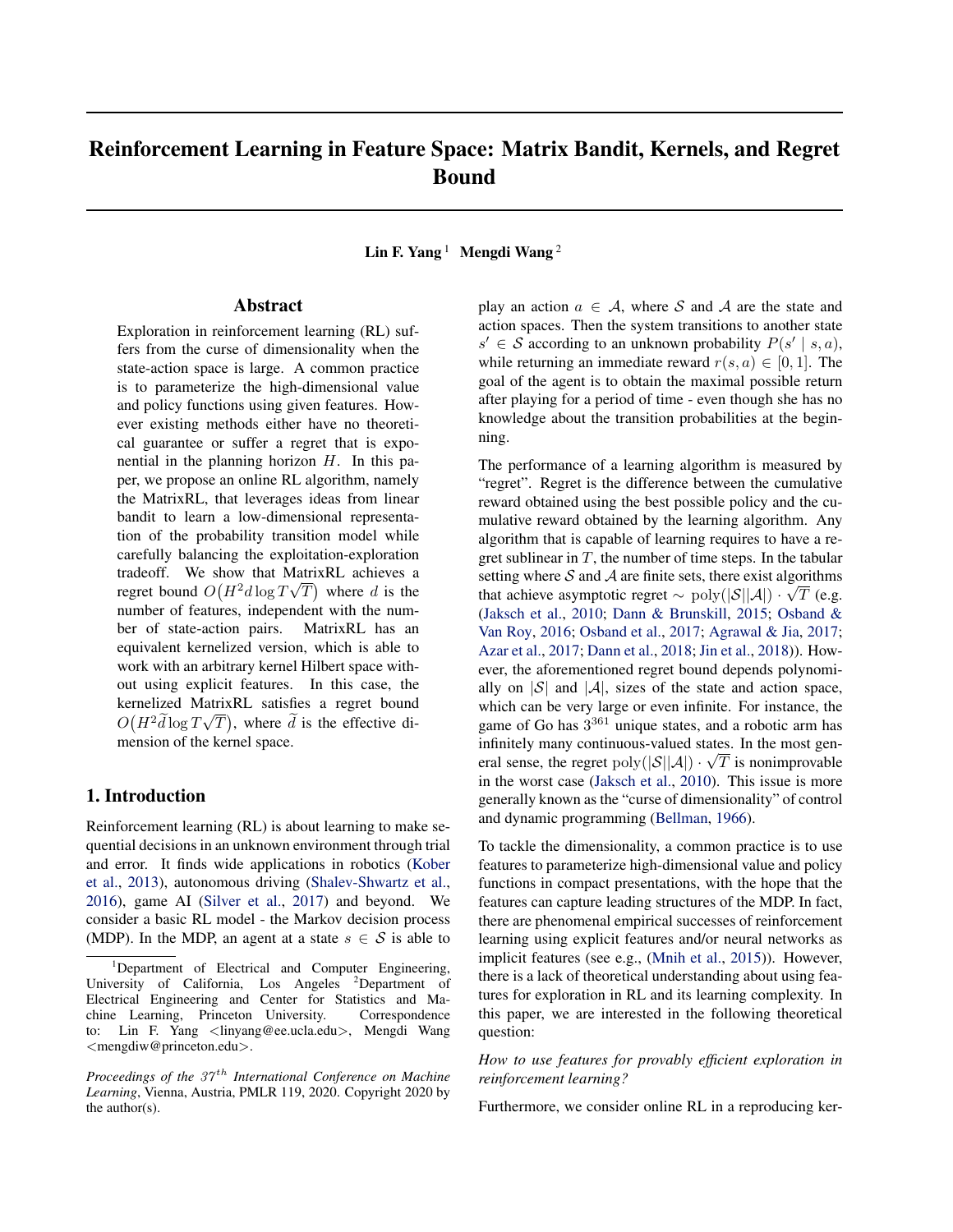# Reinforcement Learning in Feature Space: Matrix Bandit, Kernels, and Regret Bound

Lin F. Yang<sup>1</sup> Mengdi Wang<sup>2</sup>

# Abstract

Exploration in reinforcement learning (RL) suffers from the curse of dimensionality when the state-action space is large. A common practice is to parameterize the high-dimensional value and policy functions using given features. However existing methods either have no theoretical guarantee or suffer a regret that is exponential in the planning horizon  $H$ . In this paper, we propose an online RL algorithm, namely the MatrixRL, that leverages ideas from linear bandit to learn a low-dimensional representation of the probability transition model while carefully balancing the exploitation-exploration tradeoff. We show that MatrixRL achieves a regret bound  $O(H^2d\log T\sqrt{T})$  where d is the number of features, independent with the number of state-action pairs. MatrixRL has an equivalent kernelized version, which is able to work with an arbitrary kernel Hilbert space without using explicit features. In this case, the kernelized MatrixRL satisfies a regret bound  $O(H^2 \widetilde{d} \log T \sqrt{T})$ , where  $\widetilde{d}$  is the effective dimension of the kernel space.

# 1. Introduction

Reinforcement learning (RL) is about learning to make sequential decisions in an unknown environment through trial and error. It finds wide applications in robotics (Kober et al., 2013), autonomous driving (Shalev-Shwartz et al., 2016), game AI (Silver et al., 2017) and beyond. We consider a basic RL model - the Markov decision process (MDP). In the MDP, an agent at a state  $s \in S$  is able to

play an action  $a \in \mathcal{A}$ , where S and A are the state and action spaces. Then the system transitions to another state  $s' \in \mathcal{S}$  according to an unknown probability  $P(s' | s, a)$ , while returning an immediate reward  $r(s, a) \in [0, 1]$ . The goal of the agent is to obtain the maximal possible return after playing for a period of time - even though she has no knowledge about the transition probabilities at the beginning.

The performance of a learning algorithm is measured by "regret". Regret is the difference between the cumulative reward obtained using the best possible policy and the cumulative reward obtained by the learning algorithm. Any algorithm that is capable of learning requires to have a regret sublinear in  $T$ , the number of time steps. In the tabular setting where  $S$  and  $A$  are finite sets, there exist algorithms that achieve asymptotic regret  $\sim$  poly $(|S||A|) \cdot \sqrt{T}$  (e.g. (Jaksch et al., 2010; Dann & Brunskill, 2015; Osband & Van Roy, 2016; Osband et al., 2017; Agrawal & Jia, 2017; Azar et al., 2017; Dann et al., 2018; Jin et al., 2018)). However, the aforementioned regret bound depends polynomially on  $|S|$  and  $|A|$ , sizes of the state and action space, which can be very large or even infinite. For instance, the game of Go has  $3^{361}$  unique states, and a robotic arm has infinitely many continuous-valued states. In the most general sense, the regret  $poly(|S||A|) \cdot \sqrt{T}$  is nonimprovable in the worst case (Jaksch et al., 2010). This issue is more generally known as the "curse of dimensionality" of control and dynamic programming (Bellman, 1966).

To tackle the dimensionality, a common practice is to use features to parameterize high-dimensional value and policy functions in compact presentations, with the hope that the features can capture leading structures of the MDP. In fact, there are phenomenal empirical successes of reinforcement learning using explicit features and/or neural networks as implicit features (see e.g., (Mnih et al., 2015)). However, there is a lack of theoretical understanding about using features for exploration in RL and its learning complexity. In this paper, we are interested in the following theoretical question:

*How to use features for provably efficient exploration in reinforcement learning?*

Furthermore, we consider online RL in a reproducing ker-

<sup>&</sup>lt;sup>1</sup>Department of Electrical and Computer Engineering, University of California, Los Angeles <sup>2</sup>Department of Electrical Engineering and Center for Statistics and Machine Learning, Princeton University. Correspondence to: Lin F. Yang <linyang@ee.ucla.edu>, Mengdi Wang <mengdiw@princeton.edu>.

*Proceedings of the 37<sup>th</sup> International Conference on Machine Learning*, Vienna, Austria, PMLR 119, 2020. Copyright 2020 by the author(s).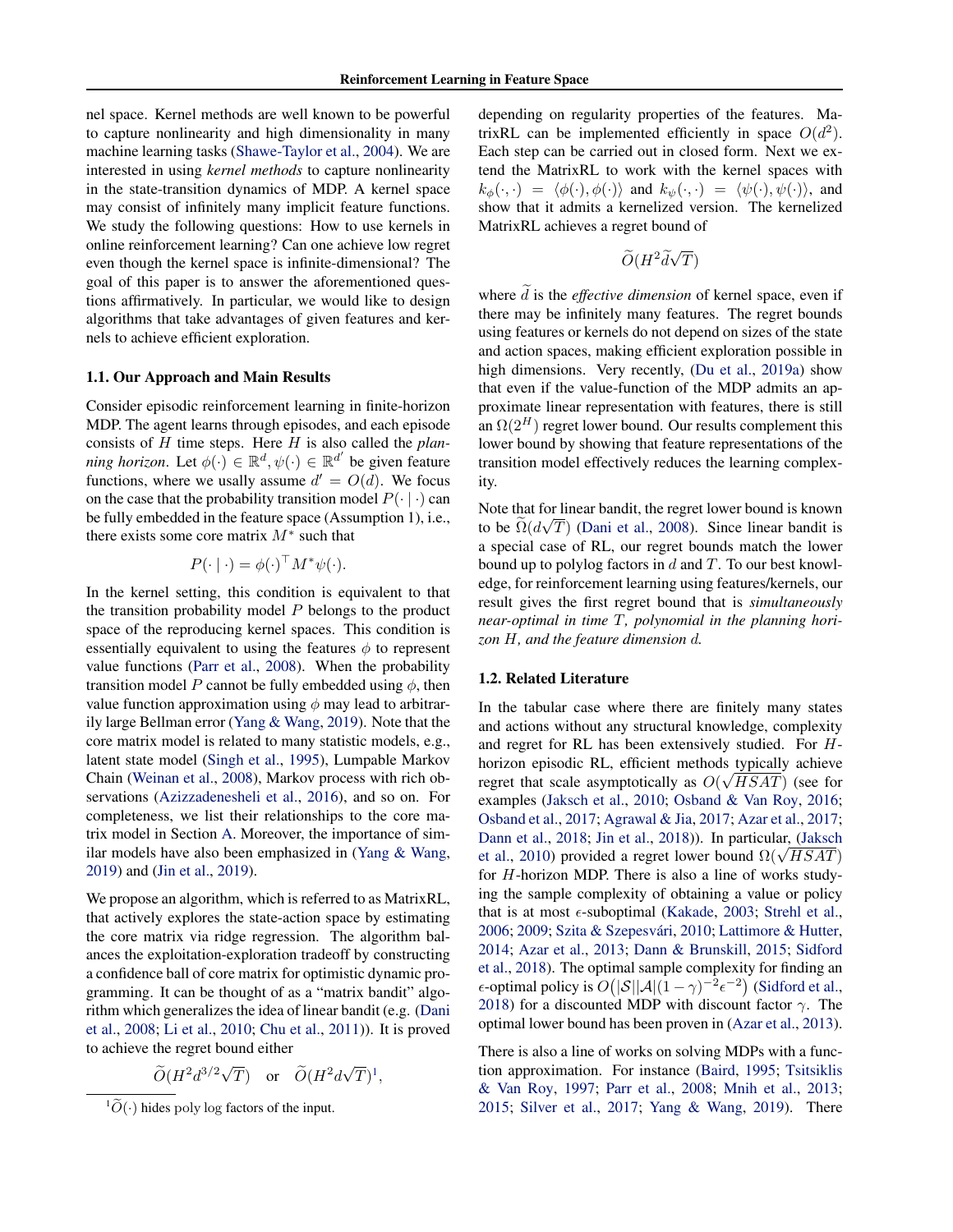nel space. Kernel methods are well known to be powerful to capture nonlinearity and high dimensionality in many machine learning tasks (Shawe-Taylor et al., 2004). We are interested in using *kernel methods* to capture nonlinearity in the state-transition dynamics of MDP. A kernel space may consist of infinitely many implicit feature functions. We study the following questions: How to use kernels in online reinforcement learning? Can one achieve low regret even though the kernel space is infinite-dimensional? The goal of this paper is to answer the aforementioned questions affirmatively. In particular, we would like to design algorithms that take advantages of given features and kernels to achieve efficient exploration.

### 1.1. Our Approach and Main Results

Consider episodic reinforcement learning in finite-horizon MDP. The agent learns through episodes, and each episode consists of H time steps. Here H is also called the *planning horizon*. Let  $\phi(\cdot) \in \mathbb{R}^d$ ,  $\psi(\cdot) \in \mathbb{R}^{d'}$  be given feature functions, where we usally assume  $d' = O(d)$ . We focus on the case that the probability transition model  $P(\cdot | \cdot)$  can be fully embedded in the feature space (Assumption 1), i.e., there exists some core matrix  $M^*$  such that

$$
P(\cdot | \cdot) = \phi(\cdot)^{\top} M^* \psi(\cdot).
$$

In the kernel setting, this condition is equivalent to that the transition probability model  $P$  belongs to the product space of the reproducing kernel spaces. This condition is essentially equivalent to using the features  $\phi$  to represent value functions (Parr et al., 2008). When the probability transition model P cannot be fully embedded using  $\phi$ , then value function approximation using  $\phi$  may lead to arbitrarily large Bellman error (Yang & Wang, 2019). Note that the core matrix model is related to many statistic models, e.g., latent state model (Singh et al., 1995), Lumpable Markov Chain (Weinan et al., 2008), Markov process with rich observations (Azizzadenesheli et al., 2016), and so on. For completeness, we list their relationships to the core matrix model in Section A. Moreover, the importance of similar models have also been emphasized in (Yang & Wang, 2019) and (Jin et al., 2019).

We propose an algorithm, which is referred to as MatrixRL, that actively explores the state-action space by estimating the core matrix via ridge regression. The algorithm balances the exploitation-exploration tradeoff by constructing a confidence ball of core matrix for optimistic dynamic programming. It can be thought of as a "matrix bandit" algorithm which generalizes the idea of linear bandit (e.g. (Dani et al., 2008; Li et al., 2010; Chu et al., 2011)). It is proved to achieve the regret bound either

$$
\widetilde{O}(H^2d^{3/2}\sqrt{T}) \quad \text{or} \quad \widetilde{O}(H^2d\sqrt{T})^1,
$$

depending on regularity properties of the features. MatrixRL can be implemented efficiently in space  $O(d^2)$ . Each step can be carried out in closed form. Next we extend the MatrixRL to work with the kernel spaces with  $k_{\phi}(\cdot, \cdot) = \langle \phi(\cdot), \phi(\cdot) \rangle$  and  $k_{\psi}(\cdot, \cdot) = \langle \psi(\cdot), \psi(\cdot) \rangle$ , and show that it admits a kernelized version. The kernelized MatrixRL achieves a regret bound of

$$
\widetilde{O}(H^2 \widetilde{d} \sqrt{T})
$$

where  $\tilde{d}$  is the *effective dimension* of kernel space, even if there may be infinitely many features. The regret bounds using features or kernels do not depend on sizes of the state and action spaces, making efficient exploration possible in high dimensions. Very recently, (Du et al., 2019a) show that even if the value-function of the MDP admits an approximate linear representation with features, there is still an  $\Omega(2^H)$  regret lower bound. Our results complement this lower bound by showing that feature representations of the transition model effectively reduces the learning complexity.

Note that for linear bandit, the regret lower bound is known to be  $\Omega(d\sqrt{T})$  (Dani et al., 2008). Since linear bandit is a special case of RL, our regret bounds match the lower bound up to polylog factors in  $d$  and  $T$ . To our best knowledge, for reinforcement learning using features/kernels, our result gives the first regret bound that is *simultaneously near-optimal in time* T*, polynomial in the planning horizon* H*, and the feature dimension* d*.*

### 1.2. Related Literature

In the tabular case where there are finitely many states and actions without any structural knowledge, complexity and regret for RL has been extensively studied. For Hhorizon episodic RL, efficient methods typically achieve regret that scale asymptotically as  $O(\sqrt{HSAT})$  (see for examples (Jaksch et al., 2010; Osband & Van Roy, 2016; Osband et al., 2017; Agrawal & Jia, 2017; Azar et al., 2017; Dann et al., 2018; Jin et al., 2018)). In particular, (Jaksch et al., 2010) provided a regret lower bound  $\Omega(\sqrt{HSAT})$ for H-horizon MDP. There is also a line of works studying the sample complexity of obtaining a value or policy that is at most  $\epsilon$ -suboptimal (Kakade, 2003; Strehl et al., 2006; 2009; Szita & Szepesvári, 2010; Lattimore & Hutter, 2014; Azar et al., 2013; Dann & Brunskill, 2015; Sidford et al., 2018). The optimal sample complexity for finding an  $\epsilon$ -optimal policy is  $O(|\mathcal{S}||\mathcal{A}|(1-\gamma)^{-2}\epsilon^{-2})$  (Sidford et al., 2018) for a discounted MDP with discount factor  $\gamma$ . The optimal lower bound has been proven in (Azar et al., 2013).

There is also a line of works on solving MDPs with a function approximation. For instance (Baird, 1995; Tsitsiklis & Van Roy, 1997; Parr et al., 2008; Mnih et al., 2013; 2015; Silver et al., 2017; Yang & Wang, 2019). There

 ${}^{1}\tilde{O}(\cdot)$  hides poly log factors of the input.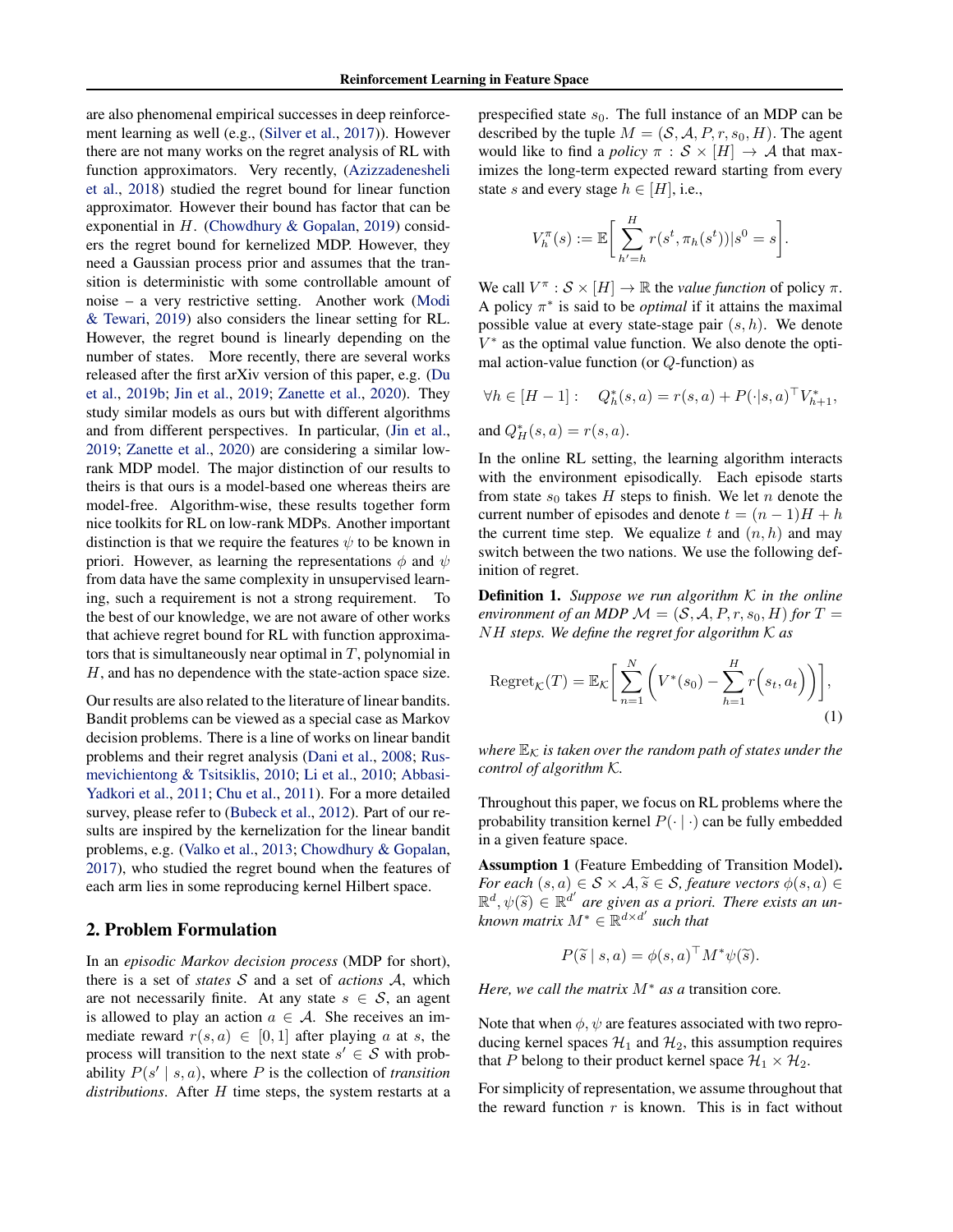are also phenomenal empirical successes in deep reinforcement learning as well (e.g., (Silver et al., 2017)). However there are not many works on the regret analysis of RL with function approximators. Very recently, (Azizzadenesheli et al., 2018) studied the regret bound for linear function approximator. However their bound has factor that can be exponential in  $H$ . (Chowdhury & Gopalan, 2019) considers the regret bound for kernelized MDP. However, they need a Gaussian process prior and assumes that the transition is deterministic with some controllable amount of noise – a very restrictive setting. Another work (Modi & Tewari, 2019) also considers the linear setting for RL. However, the regret bound is linearly depending on the number of states. More recently, there are several works released after the first arXiv version of this paper, e.g. (Du et al., 2019b; Jin et al., 2019; Zanette et al., 2020). They study similar models as ours but with different algorithms and from different perspectives. In particular, (Jin et al., 2019; Zanette et al., 2020) are considering a similar lowrank MDP model. The major distinction of our results to theirs is that ours is a model-based one whereas theirs are model-free. Algorithm-wise, these results together form nice toolkits for RL on low-rank MDPs. Another important distinction is that we require the features  $\psi$  to be known in priori. However, as learning the representations  $\phi$  and  $\psi$ from data have the same complexity in unsupervised learning, such a requirement is not a strong requirement. To the best of our knowledge, we are not aware of other works that achieve regret bound for RL with function approximators that is simultaneously near optimal in  $T$ , polynomial in H, and has no dependence with the state-action space size.

Our results are also related to the literature of linear bandits. Bandit problems can be viewed as a special case as Markov decision problems. There is a line of works on linear bandit problems and their regret analysis (Dani et al., 2008; Rusmevichientong & Tsitsiklis, 2010; Li et al., 2010; Abbasi-Yadkori et al., 2011; Chu et al., 2011). For a more detailed survey, please refer to (Bubeck et al., 2012). Part of our results are inspired by the kernelization for the linear bandit problems, e.g. (Valko et al., 2013; Chowdhury & Gopalan, 2017), who studied the regret bound when the features of each arm lies in some reproducing kernel Hilbert space.

# 2. Problem Formulation

In an *episodic Markov decision process* (MDP for short), there is a set of *states* S and a set of *actions* A, which are not necessarily finite. At any state  $s \in S$ , an agent is allowed to play an action  $a \in A$ . She receives an immediate reward  $r(s, a) \in [0, 1]$  after playing a at s, the process will transition to the next state  $s' \in S$  with probability  $P(s' | s, a)$ , where P is the collection of *transition distributions*. After H time steps, the system restarts at a

prespecified state  $s_0$ . The full instance of an MDP can be described by the tuple  $M = (S, A, P, r, s_0, H)$ . The agent would like to find a *policy*  $\pi : \mathcal{S} \times [H] \rightarrow \mathcal{A}$  that maximizes the long-term expected reward starting from every state s and every stage  $h \in [H]$ , i.e.,

$$
V_h^{\pi}(s) := \mathbb{E}\bigg[\sum_{h'=h}^H r(s^t, \pi_h(s^t))|s^0 = s\bigg].
$$

We call  $V^{\pi}$  :  $S \times [H] \rightarrow \mathbb{R}$  the *value function* of policy  $\pi$ . A policy  $\pi^*$  is said to be *optimal* if it attains the maximal possible value at every state-stage pair  $(s, h)$ . We denote  $V^*$  as the optimal value function. We also denote the optimal action-value function (or  $Q$ -function) as

$$
\forall h \in [H - 1]:
$$
  $Q_h^*(s, a) = r(s, a) + P(\cdot|s, a)^\top V_{h+1}^*,$   
and  $Q_H^*(s, a) = r(s, a).$ 

In the online RL setting, the learning algorithm interacts with the environment episodically. Each episode starts from state  $s_0$  takes H steps to finish. We let n denote the current number of episodes and denote  $t = (n - 1)H + h$ the current time step. We equalize t and  $(n, h)$  and may switch between the two nations. We use the following definition of regret.

Definition 1. *Suppose we run algorithm* K *in the online environment of an MDP*  $\mathcal{M} = (\mathcal{S}, \mathcal{A}, P, r, s_0, H)$  *for*  $T =$ NH *steps. We define the regret for algorithm* K *as*

$$
\operatorname{Regret}_{\mathcal{K}}(T) = \mathbb{E}_{\mathcal{K}} \bigg[ \sum_{n=1}^{N} \bigg( V^*(s_0) - \sum_{h=1}^{H} r(s_t, a_t) \bigg) \bigg],
$$
\n(1)

*where*  $\mathbb{E}_{\mathcal{K}}$  *is taken over the random path of states under the control of algorithm* K*.*

Throughout this paper, we focus on RL problems where the probability transition kernel  $P(\cdot | \cdot)$  can be fully embedded in a given feature space.

Assumption 1 (Feature Embedding of Transition Model). *For each*  $(s, a) \in S \times A$ ,  $\widetilde{s} \in S$ , *feature vectors*  $\phi(s, a) \in$  $\mathbb{R}^d, \psi(\tilde{s}) \in \mathbb{R}^{d'}$  are given as a priori. There exists an un-<br>*largence watering*  $M^* \in \mathbb{R}^{d \times d'}$  and that  $\textit{known matrix } M^* \in \mathbb{R}^{d \times d'}$  such that

$$
P(\widetilde{s} \mid s, a) = \phi(s, a) \, \vert \, M^* \psi(\widetilde{s}).
$$

*Here, we call the matrix* M<sup>∗</sup> *as a* transition core*.*

Note that when  $\phi$ ,  $\psi$  are features associated with two reproducing kernel spaces  $\mathcal{H}_1$  and  $\mathcal{H}_2$ , this assumption requires that P belong to their product kernel space  $\mathcal{H}_1 \times \mathcal{H}_2$ .

For simplicity of representation, we assume throughout that the reward function  $r$  is known. This is in fact without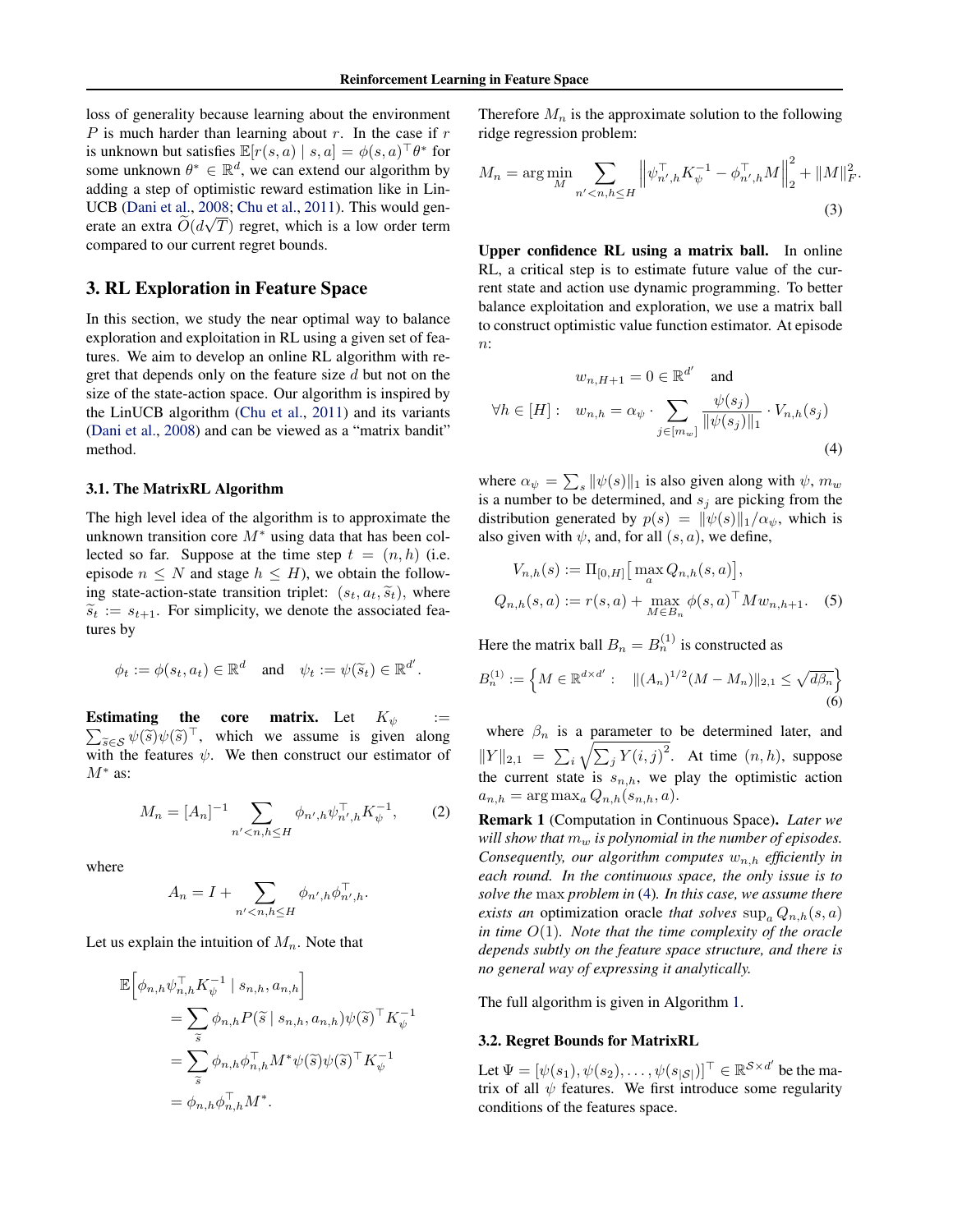loss of generality because learning about the environment P is much harder than learning about r. In the case if  $r$ is unknown but satisfies  $\mathbb{E}[r(s, a) | s, a] = \phi(s, a) \,^{\dagger} \theta^*$  for some unknown  $\theta^* \in \mathbb{R}^d$ , we can extend our algorithm by adding a step of optimistic reward estimation like in Lin-UCB (Dani et al., 2008; Chu et al., 2011). This would generate an extra  $\tilde{O}(d\sqrt{T})$  regret, which is a low order term compared to our current regret bounds.

# 3. RL Exploration in Feature Space

In this section, we study the near optimal way to balance exploration and exploitation in RL using a given set of features. We aim to develop an online RL algorithm with regret that depends only on the feature size  $d$  but not on the size of the state-action space. Our algorithm is inspired by the LinUCB algorithm (Chu et al., 2011) and its variants (Dani et al., 2008) and can be viewed as a "matrix bandit" method.

### 3.1. The MatrixRL Algorithm

The high level idea of the algorithm is to approximate the unknown transition core  $M^*$  using data that has been collected so far. Suppose at the time step  $t = (n, h)$  (i.e. episode  $n \leq N$  and stage  $h \leq H$ ), we obtain the following state-action-state transition triplet:  $(s_t, a_t, \tilde{s}_t)$ , where  $\widetilde{s}_t := s_{t+1}$ . For simplicity, we denote the associated features by

$$
\phi_t := \phi(s_t, a_t) \in \mathbb{R}^d
$$
 and  $\psi_t := \psi(\widetilde{s}_t) \in \mathbb{R}^{d'}$ .

**Estimating the core matrix.** Let  $K_{\psi}$  :=  $\sum_{\tilde{s}\in\mathcal{S}} \psi(\tilde{s})\psi(\tilde{s})^{\top}$ , which we assume is given along with the features  $\psi$ . We then construct our estimator of  $M^*$  as:

$$
M_n = [A_n]^{-1} \sum_{n' < n, h \le H} \phi_{n',h} \psi_{n',h}^\top K_{\psi}^{-1}, \tag{2}
$$

where

$$
A_n = I + \sum_{n' < n, h \le H} \phi_{n',h} \phi_{n',h}^\top.
$$

Let us explain the intuition of  $M_n$ . Note that

$$
\mathbb{E}\Big[\phi_{n,h}\psi_{n,h}^{\top}K_{\psi}^{-1}\mid s_{n,h},a_{n,h}\Big]
$$
  
=
$$
\sum_{\widetilde{s}}\phi_{n,h}P(\widetilde{s}\mid s_{n,h},a_{n,h})\psi(\widetilde{s})^{\top}K_{\psi}^{-1}
$$
  
=
$$
\sum_{\widetilde{s}}\phi_{n,h}\phi_{n,h}^{\top}M^{*}\psi(\widetilde{s})\psi(\widetilde{s})^{\top}K_{\psi}^{-1}
$$
  
=
$$
\phi_{n,h}\phi_{n,h}^{\top}M^{*}.
$$

Therefore  $M_n$  is the approximate solution to the following ridge regression problem:

$$
M_n = \arg\min_{M} \sum_{n' < n, h \le H} \left\| \psi_{n',h}^\top K_{\psi}^{-1} - \phi_{n',h}^\top M \right\|_2^2 + \|M\|_F^2. \tag{3}
$$

Upper confidence RL using a matrix ball. In online RL, a critical step is to estimate future value of the current state and action use dynamic programming. To better balance exploitation and exploration, we use a matrix ball to construct optimistic value function estimator. At episode  $n$ :

$$
w_{n,H+1} = 0 \in \mathbb{R}^{d'} \quad \text{and}
$$

$$
\forall h \in [H]: \quad w_{n,h} = \alpha_{\psi} \cdot \sum_{j \in [m_w]} \frac{\psi(s_j)}{\|\psi(s_j)\|_1} \cdot V_{n,h}(s_j)
$$
(4)

where  $\alpha_{\psi} = \sum_{s} ||\psi(s)||_1$  is also given along with  $\psi$ ,  $m_w$ is a number to be determined, and  $s_j$  are picking from the distribution generated by  $p(s) = ||\psi(s)||_1/\alpha_{\psi}$ , which is also given with  $\psi$ , and, for all  $(s, a)$ , we define,

$$
V_{n,h}(s) := \Pi_{[0,H]} \big[ \max_{a} Q_{n,h}(s,a) \big],
$$
  
\n
$$
Q_{n,h}(s,a) := r(s,a) + \max_{M \in B_n} \phi(s,a)^\top M w_{n,h+1}.
$$
 (5)

Here the matrix ball  $B_n = B_n^{(1)}$  is constructed as

$$
B_n^{(1)} := \left\{ M \in \mathbb{R}^{d \times d'} : \quad \|(A_n)^{1/2} (M - M_n)\|_{2,1} \le \sqrt{d\beta_n} \right\}
$$
\n
$$
\tag{6}
$$

where  $\beta_n$  is a parameter to be determined later, and  $||Y||_{2,1} = \sum_i \sqrt{\sum_j Y(i,j)^2}$ . At time  $(n, h)$ , suppose the current state is  $s_{n,h}$ , we play the optimistic action  $a_{n,h} = \arg \max_a Q_{n,h}(s_{n,h}, a).$ 

Remark 1 (Computation in Continuous Space). *Later we will show that*  $m_w$  *is polynomial in the number of episodes. Consequently, our algorithm computes*  $w_{n,h}$  *efficiently in each round. In the continuous space, the only issue is to solve the* max *problem in* (4)*. In this case, we assume there exists an* optimization oracle *that solves*  $\sup_a Q_{n,h}(s, a)$ *in time* O(1)*. Note that the time complexity of the oracle depends subtly on the feature space structure, and there is no general way of expressing it analytically.*

The full algorithm is given in Algorithm 1.

# 3.2. Regret Bounds for MatrixRL

Let  $\Psi = [\psi(s_1), \psi(s_2), \dots, \psi(s_{|\mathcal{S}|})]^\top \in \mathbb{R}^{\mathcal{S} \times d'}$  be the matrix of all  $\psi$  features. We first introduce some regularity conditions of the features space.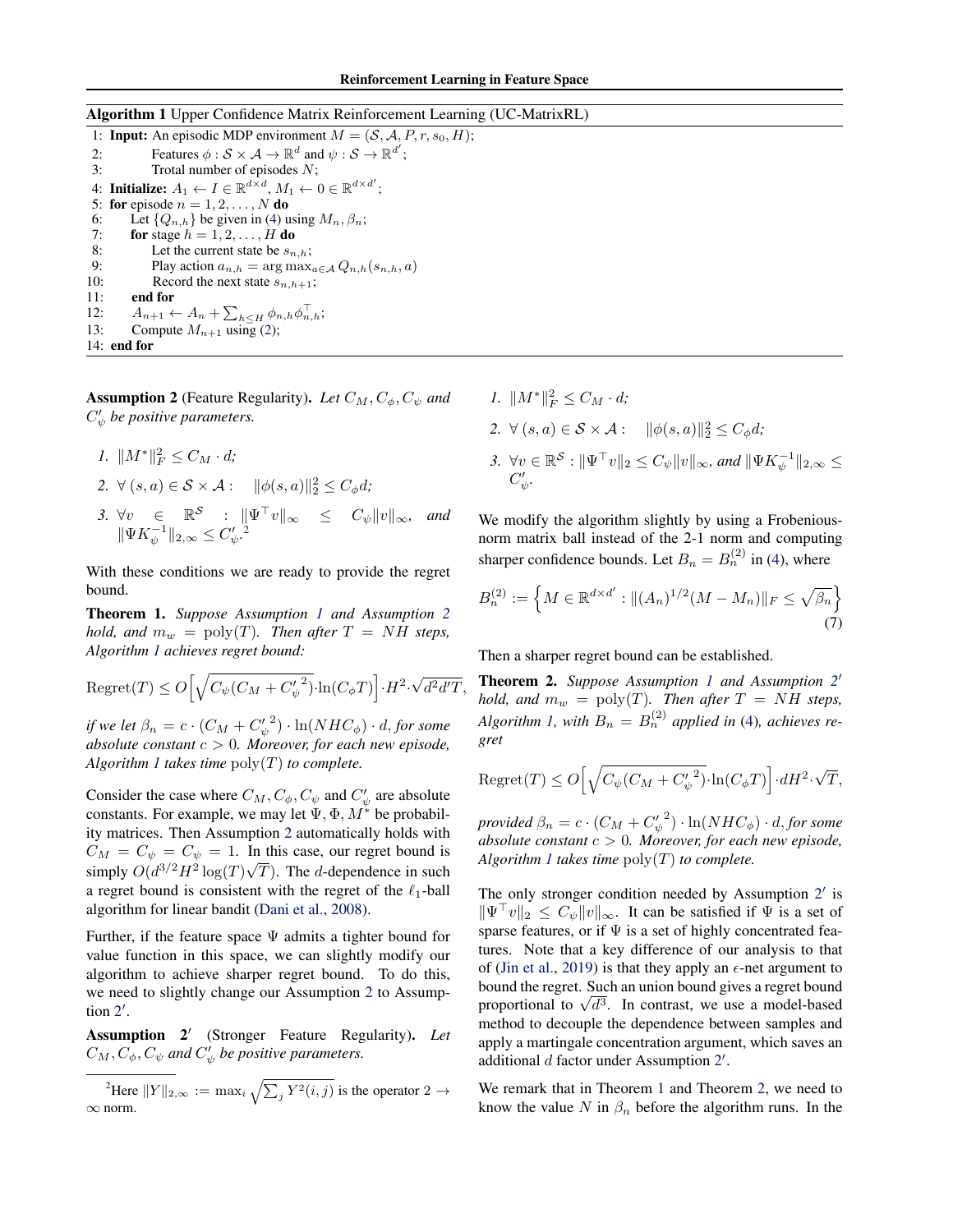# Algorithm 1 Upper Confidence Matrix Reinforcement Learning (UC-MatrixRL)

1: **Input:** An episodic MDP environment  $M = (S, A, P, r, s_0, H)$ ;<br>2: Features  $\phi : S \times A \rightarrow \mathbb{R}^d$  and  $\psi : S \rightarrow \mathbb{R}^{d'}$ ; 2: Features  $\phi : \mathcal{S} \times \mathcal{A} \to \mathbb{R}^d$  and  $\psi : \mathcal{S} \to \mathbb{R}^{d'}$ ; 3: Trotal number of episodes N; 4: Initialize:  $A_1 \leftarrow I \in \mathbb{R}^{d \times d}$ ,  $M_1 \leftarrow 0 \in \mathbb{R}^{d \times d'}$ ; 5: for episode  $n = 1, 2, \ldots, N$  do 6: Let  $\{Q_{n,h}\}$  be given in (4) using  $M_n, \beta_n$ ; 7: for stage  $h = 1, 2, \ldots, H$  do 8: Let the current state be  $s_{n,h}$ ;<br>9: Play action  $a_{n,h} = \arg \max_a$ 9: Play action  $a_{n,h} = \arg \max_{a \in \mathcal{A}} Q_{n,h}(s_{n,h}, a)$ <br>10: Record the next state  $s_{n,h+1}$ ; Record the next state  $s_{n,h+1}$ ; 11: end for 12:  $A_{n+1} \leftarrow A_n + \sum_{h \le H} \phi_{n,h} \phi_{n,h}^\top;$ 13: Compute  $M_{n+1}$  using (2); 14: end for

**Assumption 2** (Feature Regularity). Let  $C_M, C_{\phi}, C_{\psi}$  and  $C'_\psi$  be positive parameters.

*1.*  $||M^*||_F^2 \leq C_M \cdot d$ ;

2. 
$$
\forall (s, a) \in S \times A: \|\phi(s, a)\|_2^2 \le C_{\phi} d
$$
;  
\n3.  $\forall v \in \mathbb{R}^S: \|\Psi^{\top}v\|_{\infty} \le C_{\psi}\|v\|_{\infty}$ , and  
\n $\|\Psi K_{\psi}^{-1}\|_{2, \infty} \le C_{\psi}^{\prime}$ 

With these conditions we are ready to provide the regret bound.

Theorem 1. *Suppose Assumption 1 and Assumption 2 hold, and*  $m_w = \text{poly}(T)$ *. Then after*  $T = NH$  *steps, Algorithm 1 achieves regret bound:*

$$
\mathrm{Regret}(T) \le O\Big[\sqrt{C_{\psi}(C_M + C_{\psi}'^2)} \cdot \ln(C_{\phi}T)\Big] \cdot H^2 \cdot \sqrt{d^2 d' T},
$$

*if we let*  $\beta_n = c \cdot (C_M + {C'_\psi}^2) \cdot \ln(NHC_\phi) \cdot d$ , *for some absolute constant* c > 0*. Moreover, for each new episode, Algorithm 1 takes time*  $poly(T)$  *to complete.* 

Consider the case where  $C_M, C_{\phi}, C_{\psi}$  and  $C'_{\psi}$  are absolute constants. For example, we may let  $\Psi$ ,  $\Phi$ ,  $M^*$  be probability matrices. Then Assumption 2 automatically holds with  $C_M = C_{\psi} = C_{\psi} = 1$ . In this case, our regret bound is simply  $O(d^{3/2}H^2 \log(T)\sqrt{T})$ . The d-dependence in such a regret bound is consistent with the regret of the  $\ell_1$ -ball algorithm for linear bandit (Dani et al., 2008).

Further, if the feature space  $\Psi$  admits a tighter bound for value function in this space, we can slightly modify our algorithm to achieve sharper regret bound. To do this, we need to slightly change our Assumption 2 to Assumption  $2'$ .

Assumption 2<sup>'</sup> (Stronger Feature Regularity). Let  $C_M, C_\phi, C_\psi$  and  $C'_\psi$  be positive parameters.

<sup>2</sup>Here  $||Y||_{2,\infty} := \max_i \sqrt{\sum_j Y^2(i,j)}$  is the operator 2  $\rightarrow$ ∞ norm.

*1.*  $||M^*||_F^2 \leq C_M \cdot d$ ; 2.  $\forall (s, a) \in S \times A: \|\phi(s, a)\|_2^2 \le C_{\phi} d;$ 3.  $\forall v \in \mathbb{R}^S : ||\Psi^\top v||_2 \le C_\psi ||v||_\infty$ , and  $||\Psi K_{\psi}^{-1}||_{2,\infty} \le C_\psi ||v||_\infty$  $C'_\psi.$ 

We modify the algorithm slightly by using a Frobeniousnorm matrix ball instead of the 2-1 norm and computing sharper confidence bounds. Let  $B_n = B_n^{(2)}$  in (4), where

$$
B_n^{(2)} := \left\{ M \in \mathbb{R}^{d \times d'} : \|(A_n)^{1/2} (M - M_n)\|_F \le \sqrt{\beta_n} \right\}
$$
\n(7)

Then a sharper regret bound can be established.

Theorem 2. *Suppose Assumption 1 and Assumption 2* 0 *hold, and*  $m_w = \text{poly}(T)$ *. Then after*  $T = NH$  *steps,* Algorithm 1, with  $B_n = B_n^{(2)}$  applied in (4), achieves re*gret*

$$
Regret(T) \le O\Big[\sqrt{C_{\psi}(C_M + C_{\psi}'^2)} \cdot \ln(C_{\phi}T)\Big] \cdot dH^2 \cdot \sqrt{T},
$$

*provided*  $\beta_n = c \cdot (C_M + {C'_\psi}^2) \cdot \ln(NHC_\phi) \cdot d$ , *for some absolute constant* c > 0*. Moreover, for each new episode, Algorithm 1 takes time* poly(T) *to complete.*

The only stronger condition needed by Assumption  $2'$  is  $\|\Psi^{\top}v\|_2 \leq C_{\psi}\|v\|_{\infty}$ . It can be satisfied if  $\Psi$  is a set of sparse features, or if  $\Psi$  is a set of highly concentrated features. Note that a key difference of our analysis to that of (Jin et al., 2019) is that they apply an  $\epsilon$ -net argument to bound the regret. Such an union bound gives a regret bound proportional to  $\sqrt{d^3}$ . In contrast, we use a model-based method to decouple the dependence between samples and apply a martingale concentration argument, which saves an additional  $d$  factor under Assumption  $2'$ .

We remark that in Theorem 1 and Theorem 2, we need to know the value N in  $\beta_n$  before the algorithm runs. In the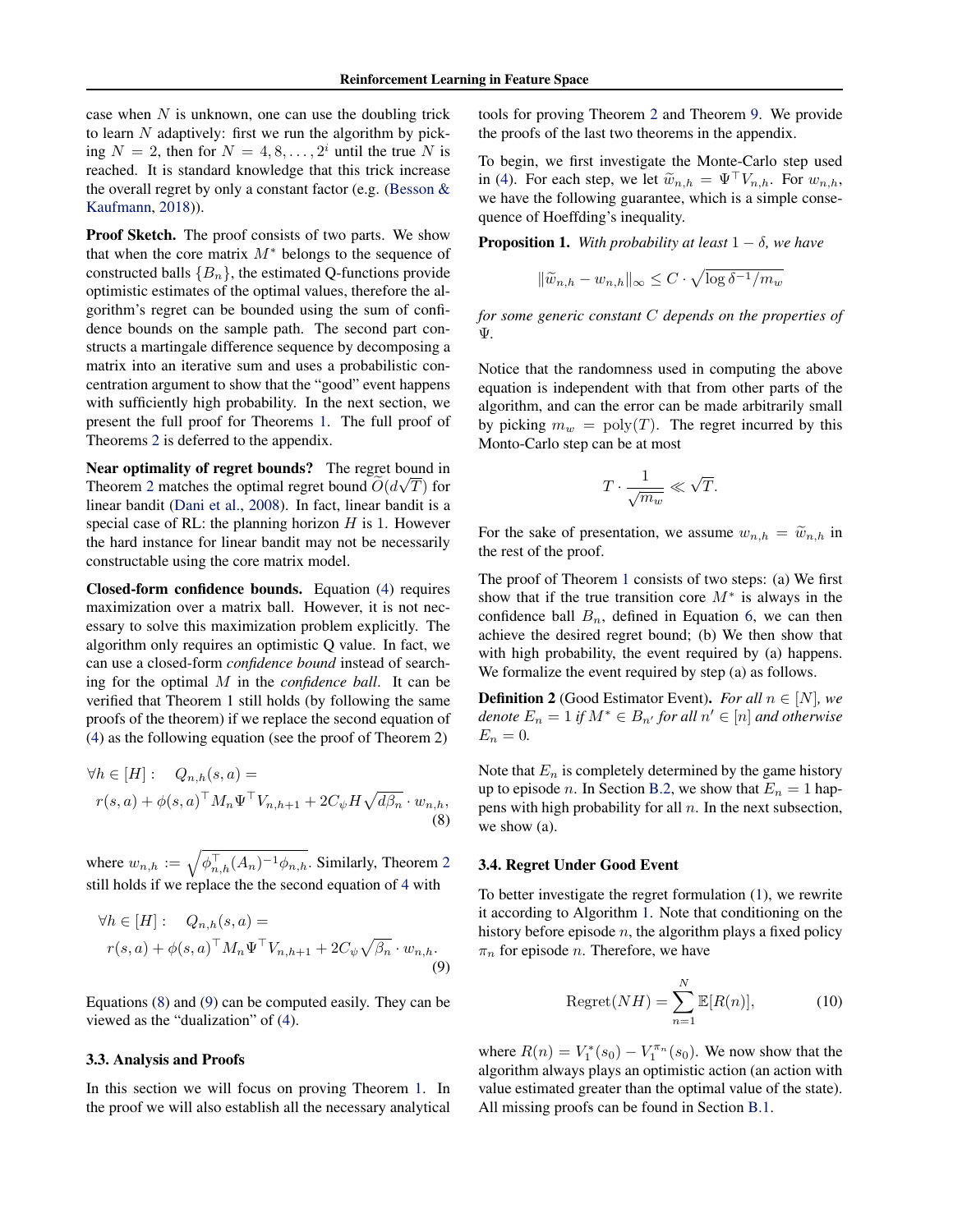case when  $N$  is unknown, one can use the doubling trick to learn  $N$  adaptively: first we run the algorithm by picking  $N = 2$ , then for  $N = 4, 8, ..., 2<sup>i</sup>$  until the true N is reached. It is standard knowledge that this trick increase the overall regret by only a constant factor (e.g. (Besson & Kaufmann, 2018)).

Proof Sketch. The proof consists of two parts. We show that when the core matrix  $M^*$  belongs to the sequence of constructed balls  ${B_n}$ , the estimated Q-functions provide optimistic estimates of the optimal values, therefore the algorithm's regret can be bounded using the sum of confidence bounds on the sample path. The second part constructs a martingale difference sequence by decomposing a matrix into an iterative sum and uses a probabilistic concentration argument to show that the "good" event happens with sufficiently high probability. In the next section, we present the full proof for Theorems 1. The full proof of Theorems 2 is deferred to the appendix.

Near optimality of regret bounds? The regret bound in Theorem 2 matches the optimal regret bound  $\widetilde{O}(d\sqrt{T})$  for linear bandit (Dani et al., 2008). In fact, linear bandit is a special case of RL: the planning horizon  $H$  is 1. However the hard instance for linear bandit may not be necessarily constructable using the core matrix model.

Closed-form confidence bounds. Equation (4) requires maximization over a matrix ball. However, it is not necessary to solve this maximization problem explicitly. The algorithm only requires an optimistic Q value. In fact, we can use a closed-form *confidence bound* instead of searching for the optimal M in the *confidence ball*. It can be verified that Theorem 1 still holds (by following the same proofs of the theorem) if we replace the second equation of (4) as the following equation (see the proof of Theorem 2)

$$
\forall h \in [H]: \quad Q_{n,h}(s,a) =
$$
  
 
$$
r(s,a) + \phi(s,a)^\top M_n \Psi^\top V_{n,h+1} + 2C_{\psi}H\sqrt{d\beta_n} \cdot w_{n,h},
$$
  
(8)

where  $w_{n,h} := \sqrt{\phi_{n,h}^{\top}(A_n)^{-1} \phi_{n,h}}$ . Similarly, Theorem 2 still holds if we replace the the second equation of 4 with

$$
\forall h \in [H]: \quad Q_{n,h}(s,a) =
$$
  
 
$$
r(s,a) + \phi(s,a)^\top M_n \Psi^\top V_{n,h+1} + 2C_{\psi}\sqrt{\beta_n} \cdot w_{n,h}.
$$
  
(9)

Equations (8) and (9) can be computed easily. They can be viewed as the "dualization" of (4).

### 3.3. Analysis and Proofs

In this section we will focus on proving Theorem 1. In the proof we will also establish all the necessary analytical tools for proving Theorem 2 and Theorem 9. We provide the proofs of the last two theorems in the appendix.

To begin, we first investigate the Monte-Carlo step used in (4). For each step, we let  $\widetilde{w}_{n,h} = \Psi^{\top} V_{n,h}$ . For  $w_{n,h}$ , we have the following guarantee, which is a simple consequence of Hoeffding's inequality.

**Proposition 1.** *With probability at least*  $1 - \delta$ *, we have* 

$$
\|\widetilde{w}_{n,h} - w_{n,h}\|_{\infty} \le C \cdot \sqrt{\log \delta^{-1}/m_w}
$$

*for some generic constant* C *depends on the properties of* Ψ*.*

Notice that the randomness used in computing the above equation is independent with that from other parts of the algorithm, and can the error can be made arbitrarily small by picking  $m_w = \text{poly}(T)$ . The regret incurred by this Monto-Carlo step can be at most

$$
T\cdot \frac{1}{\sqrt{m_w}} \ll \sqrt{T}.
$$

For the sake of presentation, we assume  $w_{n,h} = \tilde{w}_{n,h}$  in the rest of the proof.

The proof of Theorem 1 consists of two steps: (a) We first show that if the true transition core  $M^*$  is always in the confidence ball  $B_n$ , defined in Equation 6, we can then achieve the desired regret bound; (b) We then show that with high probability, the event required by (a) happens. We formalize the event required by step (a) as follows.

**Definition 2** (Good Estimator Event). *For all*  $n \in [N]$ *, we denote*  $E_n = 1$  *if*  $M^* \in B_{n'}$  *for all*  $n' \in [n]$  *and otherwise*  $E_n = 0$ .

Note that  $E_n$  is completely determined by the game history up to episode *n*. In Section B.2, we show that  $E_n = 1$  happens with high probability for all  $n$ . In the next subsection, we show (a).

### 3.4. Regret Under Good Event

To better investigate the regret formulation (1), we rewrite it according to Algorithm 1. Note that conditioning on the history before episode  $n$ , the algorithm plays a fixed policy  $\pi_n$  for episode *n*. Therefore, we have

$$
Regret(NH) = \sum_{n=1}^{N} \mathbb{E}[R(n)],\tag{10}
$$

where  $R(n) = V_1^*(s_0) - V_1^{\pi_n}(s_0)$ . We now show that the algorithm always plays an optimistic action (an action with value estimated greater than the optimal value of the state). All missing proofs can be found in Section B.1.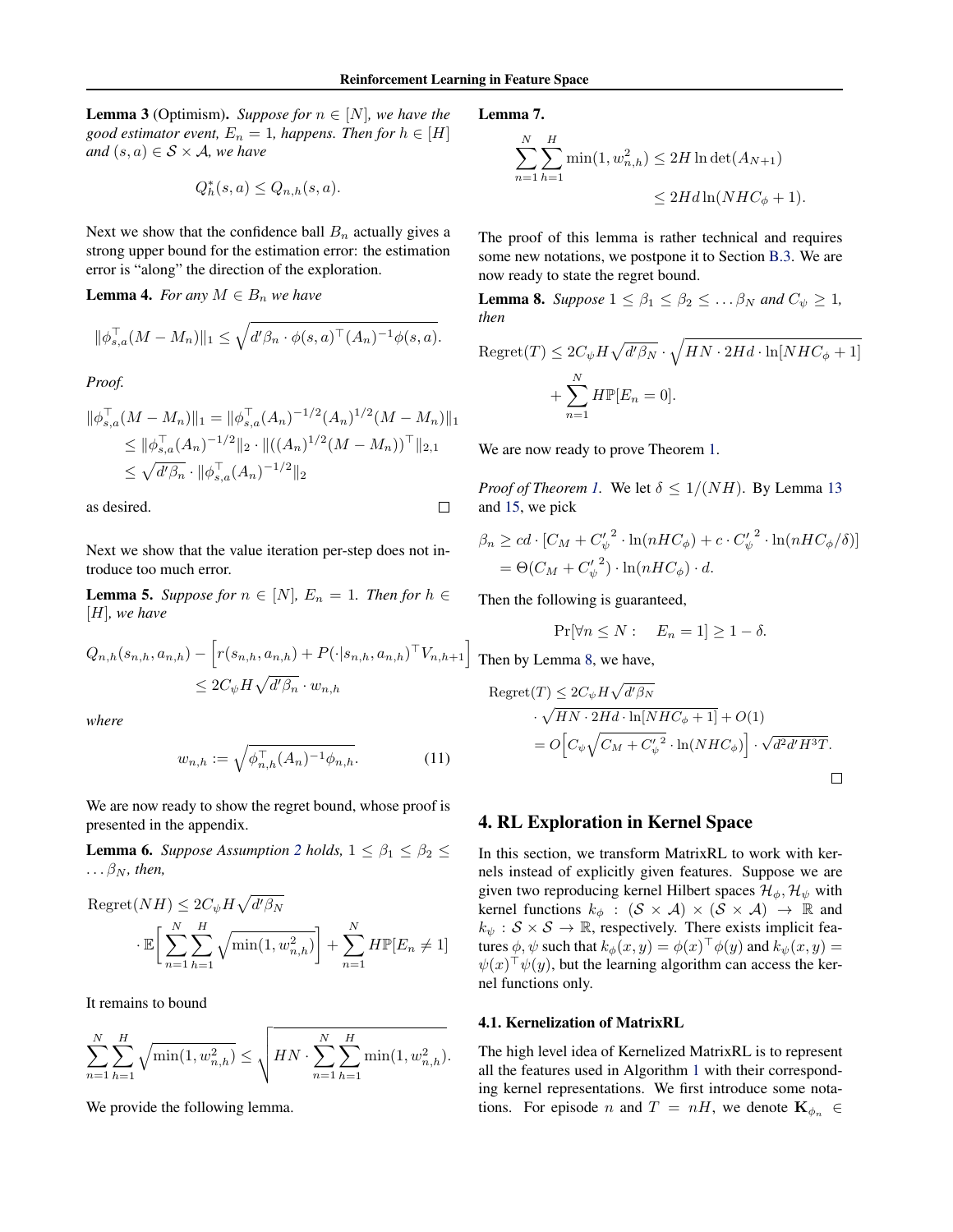$\Box$ 

**Lemma 3** (Optimism). *Suppose for*  $n \in [N]$ *, we have the good estimator event,*  $E_n = 1$ *, happens. Then for*  $h \in [H]$ *and*  $(s, a) \in S \times A$ *, we have* 

$$
Q_h^*(s, a) \le Q_{n,h}(s, a).
$$

Next we show that the confidence ball  $B_n$  actually gives a strong upper bound for the estimation error: the estimation error is "along" the direction of the exploration.

**Lemma 4.** *For any*  $M \in B_n$  *we have* 

$$
\|\phi_{s,a}^{\top}(M-M_n)\|_1 \leq \sqrt{d'\beta_n \cdot \phi(s,a)^{\top}(A_n)^{-1}\phi(s,a)}.
$$

*Proof.*

$$
\|\phi_{s,a}^{\top}(M - M_n)\|_1 = \|\phi_{s,a}^{\top}(A_n)^{-1/2}(A_n)^{1/2}(M - M_n)\|_1
$$
  
\n
$$
\leq \|\phi_{s,a}^{\top}(A_n)^{-1/2}\|_2 \cdot \|((A_n)^{1/2}(M - M_n))^{\top}\|_{2,1}
$$
  
\n
$$
\leq \sqrt{d'\beta_n} \cdot \|\phi_{s,a}^{\top}(A_n)^{-1/2}\|_2
$$

as desired.

Next we show that the value iteration per-step does not introduce too much error.

**Lemma 5.** *Suppose for*  $n \in [N]$ *,*  $E_n = 1$ *. Then for*  $h \in$ [H]*, we have*

$$
Q_{n,h}(s_{n,h}, a_{n,h}) - [r(s_{n,h}, a_{n,h}) + P(\cdot | s_{n,h}, a_{n,h})^{\top} V_{n,h+1}]
$$
  

$$
\leq 2C_{\psi} H \sqrt{d' \beta_n} \cdot w_{n,h}
$$

*where*

$$
w_{n,h} := \sqrt{\phi_{n,h}^{\top}(A_n)^{-1}\phi_{n,h}}.\tag{11}
$$

We are now ready to show the regret bound, whose proof is presented in the appendix.

**Lemma 6.** *Suppose Assumption* 2 *holds*,  $1 \leq \beta_1 \leq \beta_2 \leq$  $\ldots \beta_N$ *, then,* 

Regret
$$
(NH) \leq 2C_{\psi}H\sqrt{d'\beta_N}
$$
  

$$
\cdot \mathbb{E}\bigg[\sum_{n=1}^{N}\sum_{h=1}^{H}\sqrt{\min(1,w_{n,h}^2)}\bigg] + \sum_{n=1}^{N}H\mathbb{P}[E_n \neq 1]
$$

It remains to bound

$$
\sum_{n=1}^{N} \sum_{h=1}^{H} \sqrt{\min(1, w_{n,h}^2)} \le \sqrt{H N \cdot \sum_{n=1}^{N} \sum_{h=1}^{H} \min(1, w_{n,h}^2)}.
$$

We provide the following lemma.

Lemma 7.

$$
\sum_{n=1}^{N} \sum_{h=1}^{H} \min(1, w_{n,h}^2) \le 2H \ln \det(A_{N+1})
$$
  

$$
\le 2H d \ln(NHC_{\phi} + 1).
$$

The proof of this lemma is rather technical and requires some new notations, we postpone it to Section B.3. We are now ready to state the regret bound.

**Lemma 8.** *Suppose*  $1 \leq \beta_1 \leq \beta_2 \leq \ldots \beta_N$  *and*  $C_{\psi} \geq 1$ *, then*

$$
Regret(T) \le 2C_{\psi}H\sqrt{d'\beta_N} \cdot \sqrt{HN \cdot 2Hd \cdot \ln[NHC_{\phi} + 1]}
$$

$$
+ \sum_{n=1}^{N} H\mathbb{P}[E_n = 0].
$$

We are now ready to prove Theorem 1.

*Proof of Theorem 1.* We let  $\delta \leq 1/(NH)$ . By Lemma 13 and 15, we pick

$$
\beta_n \ge cd \cdot [C_M + {C_{\psi}'}^2 \cdot \ln(nHC_{\phi}) + c \cdot {C_{\psi}'}^2 \cdot \ln(nHC_{\phi}/\delta)]
$$
  
=  $\Theta(C_M + {C_{\psi}'}^2) \cdot \ln(nHC_{\phi}) \cdot d.$ 

Then the following is guaranteed,

$$
\Pr[\forall n \le N : E_n = 1] \ge 1 - \delta.
$$

Then by Lemma 8, we have,

Regret
$$
(T)
$$
  $\leq 2C_{\psi}H\sqrt{d'\beta_N}$   
\n $\cdot \sqrt{HN \cdot 2Hd \cdot \ln[NHC_{\phi} + 1]} + O(1)$   
\n $= O\Big[C_{\psi}\sqrt{C_M + C_{\psi}'}^2 \cdot \ln(NHC_{\phi})\Big] \cdot \sqrt{d^2d'H^3T}.$ 

# 4. RL Exploration in Kernel Space

In this section, we transform MatrixRL to work with kernels instead of explicitly given features. Suppose we are given two reproducing kernel Hilbert spaces  $\mathcal{H}_{\phi}$ ,  $\mathcal{H}_{\psi}$  with kernel functions  $k_{\phi}$  :  $(S \times A) \times (S \times A) \rightarrow \mathbb{R}$  and  $k_{\psi}$ :  $S \times S \rightarrow \mathbb{R}$ , respectively. There exists implicit features  $\phi, \psi$  such that  $k_\phi(x,y) = \phi(x)^\top \phi(y)$  and  $k_\psi(x,y) = 0$  $\psi(x)$ <sup> $\psi(y)$ </sup>, but the learning algorithm can access the kernel functions only.

### 4.1. Kernelization of MatrixRL

The high level idea of Kernelized MatrixRL is to represent all the features used in Algorithm 1 with their corresponding kernel representations. We first introduce some notations. For episode n and  $T = nH$ , we denote  $\mathbf{K}_{\phi_n} \in$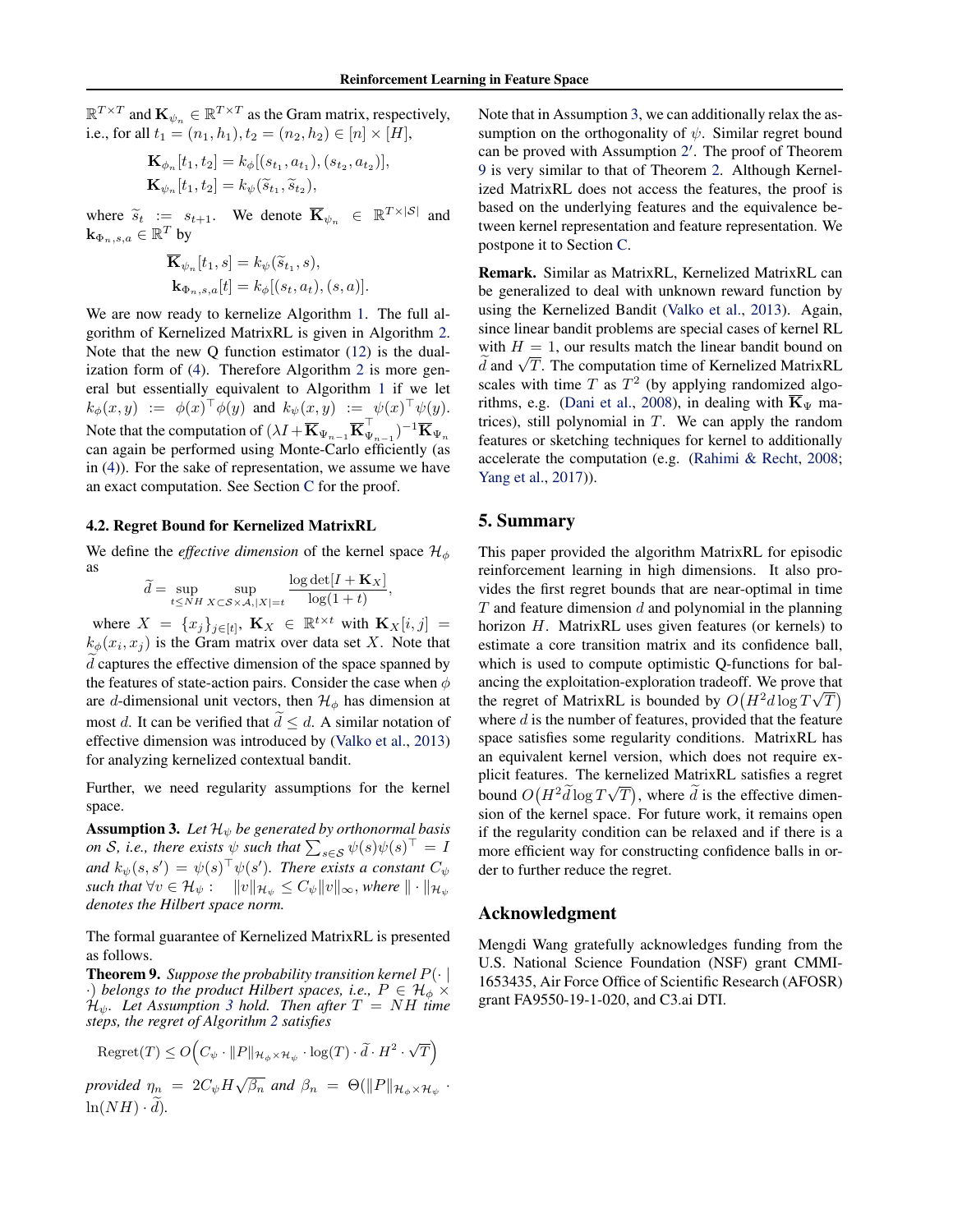$\mathbb{R}^{T \times T}$  and  $\mathbf{K}_{\psi_n} \in \mathbb{R}^{T \times T}$  as the Gram matrix, respectively, i.e., for all  $t_1 = (n_1, h_1), t_2 = (n_2, h_2) \in [n] \times [H]$ ,

$$
\mathbf{K}_{\phi_n}[t_1, t_2] = k_{\phi}[(s_{t_1}, a_{t_1}), (s_{t_2}, a_{t_2})],
$$
  
\n
$$
\mathbf{K}_{\psi_n}[t_1, t_2] = k_{\psi}(\widetilde{s}_{t_1}, \widetilde{s}_{t_2}),
$$

where  $\widetilde{s}_t := s_{t+1}$ . We denote  $\overline{\mathbf{K}}_{\psi_n} \in \mathbb{R}^{T \times |\mathcal{S}|}$  and  $\mathbf{k}_{\Phi_n, s,a} \in \mathbb{R}^{T}$  by

$$
\mathbf{K}_{\psi_n}[t_1, s] = k_{\psi}(\widetilde{s}_{t_1}, s),
$$
  
\n
$$
\mathbf{k}_{\Phi_n, s, a}[t] = k_{\phi}[(s_t, a_t), (s, a)].
$$

We are now ready to kernelize Algorithm 1. The full algorithm of Kernelized MatrixRL is given in Algorithm 2. Note that the new Q function estimator (12) is the dualization form of (4). Therefore Algorithm 2 is more general but essentially equivalent to Algorithm 1 if we let  $k_\phi(x,y) \ := \ \phi(x)^\top \phi(y)$  and  $k_\psi(x,y) \ := \ \psi(x)^\top \psi(y).$ Note that the computation of  $(\lambda I + \overline{\mathbf{K}}_{\Psi_{n-1}} \overline{\mathbf{K}}_{\Psi_{n-1}}^{\top})^{-1} \overline{\mathbf{K}}_{\Psi_n}$ can again be performed using Monte-Carlo efficiently (as in (4)). For the sake of representation, we assume we have an exact computation. See Section C for the proof.

#### 4.2. Regret Bound for Kernelized MatrixRL

We define the *effective dimension* of the kernel space  $\mathcal{H}_{\phi}$ as

$$
\widetilde{d} = \sup_{t \le NH} \sup_{X \subset \mathcal{S} \times \mathcal{A}, |X| = t} \frac{\log \det[I + \mathbf{K}_X]}{\log(1 + t)},
$$

where  $X = \{x_j\}_{j \in [t]}, \mathbf{K}_X \in \mathbb{R}^{t \times t}$  with  $\mathbf{K}_X[i, j] =$  $k_{\phi}(x_i, x_j)$  is the Gram matrix over data set X. Note that  $d$  captures the effective dimension of the space spanned by the features of state-action pairs. Consider the case when  $\phi$ are d-dimensional unit vectors, then  $\mathcal{H}_{\phi}$  has dimension at most d. It can be verified that  $d \leq d$ . A similar notation of effective dimension was introduced by (Valko et al., 2013) for analyzing kernelized contextual bandit.

Further, we need regularity assumptions for the kernel space.

**Assumption 3.** Let  $\mathcal{H}_{\psi}$  be generated by orthonormal basis *on S*, *i.e., there exists*  $\psi$  *such that*  $\sum_{s \in S} \psi(s) \psi(s)^\top = I$ and  $k_{\psi}(s, s') = \psi(s)^{\top} \psi(s')$ . There exists a constant  $C_{\psi}$ *such that*  $\forall v \in \mathcal{H}_{\psi}: \quad ||v||_{\mathcal{H}_{\psi}} \leq C_{\psi} ||v||_{\infty},$  *where*  $|| \cdot ||_{\mathcal{H}_{\psi}}$ *denotes the Hilbert space norm.*

The formal guarantee of Kernelized MatrixRL is presented as follows.

**Theorem 9.** Suppose the probability transition kernel  $P(\cdot | \cdot)$  $\cdot$ ) *belongs to the product Hilbert spaces, i.e.,*  $P \in \mathcal{H}_{\phi} \times$ Hψ*. Let Assumption 3 hold. Then after* T = NH *time steps, the regret of Algorithm 2 satisfies*

$$
\text{Regret}(T) \leq O\Big( C_{\psi} \cdot ||P||_{\mathcal{H}_{\phi} \times \mathcal{H}_{\psi}} \cdot \log(T) \cdot \widetilde{d} \cdot H^{2} \cdot \sqrt{T} \Big)
$$

*provided*  $\eta_n = 2C_{\psi}H\sqrt{\beta_n}$  and  $\beta_n = \Theta(\Vert P \Vert_{\mathcal{H}_{\phi} \times \mathcal{H}_{\psi}})$ .  $ln(NH) \cdot d$ ).

Note that in Assumption 3, we can additionally relax the assumption on the orthogonality of  $\psi$ . Similar regret bound can be proved with Assumption  $2'$ . The proof of Theorem 9 is very similar to that of Theorem 2. Although Kernelized MatrixRL does not access the features, the proof is based on the underlying features and the equivalence between kernel representation and feature representation. We postpone it to Section C.

Remark. Similar as MatrixRL, Kernelized MatrixRL can be generalized to deal with unknown reward function by using the Kernelized Bandit (Valko et al., 2013). Again, since linear bandit problems are special cases of kernel RL with  $H = 1$ , our results match the linear bandit bound on  $\overline{d}$  and  $\sqrt{T}$ . The computation time of Kernelized MatrixRL scales with time  $T$  as  $T^2$  (by applying randomized algorithms, e.g. (Dani et al., 2008), in dealing with  $\overline{K}_{\Psi}$  matrices), still polynomial in  $T$ . We can apply the random features or sketching techniques for kernel to additionally accelerate the computation (e.g. (Rahimi & Recht, 2008; Yang et al., 2017)).

# 5. Summary

This paper provided the algorithm MatrixRL for episodic reinforcement learning in high dimensions. It also provides the first regret bounds that are near-optimal in time  $T$  and feature dimension  $d$  and polynomial in the planning horizon H. MatrixRL uses given features (or kernels) to estimate a core transition matrix and its confidence ball, which is used to compute optimistic Q-functions for balancing the exploitation-exploration tradeoff. We prove that the regret of MatrixRL is bounded by  $O(H^2d \log T\sqrt{T})$ where  $d$  is the number of features, provided that the feature space satisfies some regularity conditions. MatrixRL has an equivalent kernel version, which does not require explicit features. The kernelized MatrixRL satisfies a regret bound  $O(H^2\tilde{d}\log T\sqrt{T})$ , where  $\tilde{d}$  is the effective dimension of the kernel space. For future work, it remains open if the regularity condition can be relaxed and if there is a more efficient way for constructing confidence balls in order to further reduce the regret.

### Acknowledgment

Mengdi Wang gratefully acknowledges funding from the U.S. National Science Foundation (NSF) grant CMMI-1653435, Air Force Office of Scientific Research (AFOSR) grant FA9550-19-1-020, and C3.ai DTI.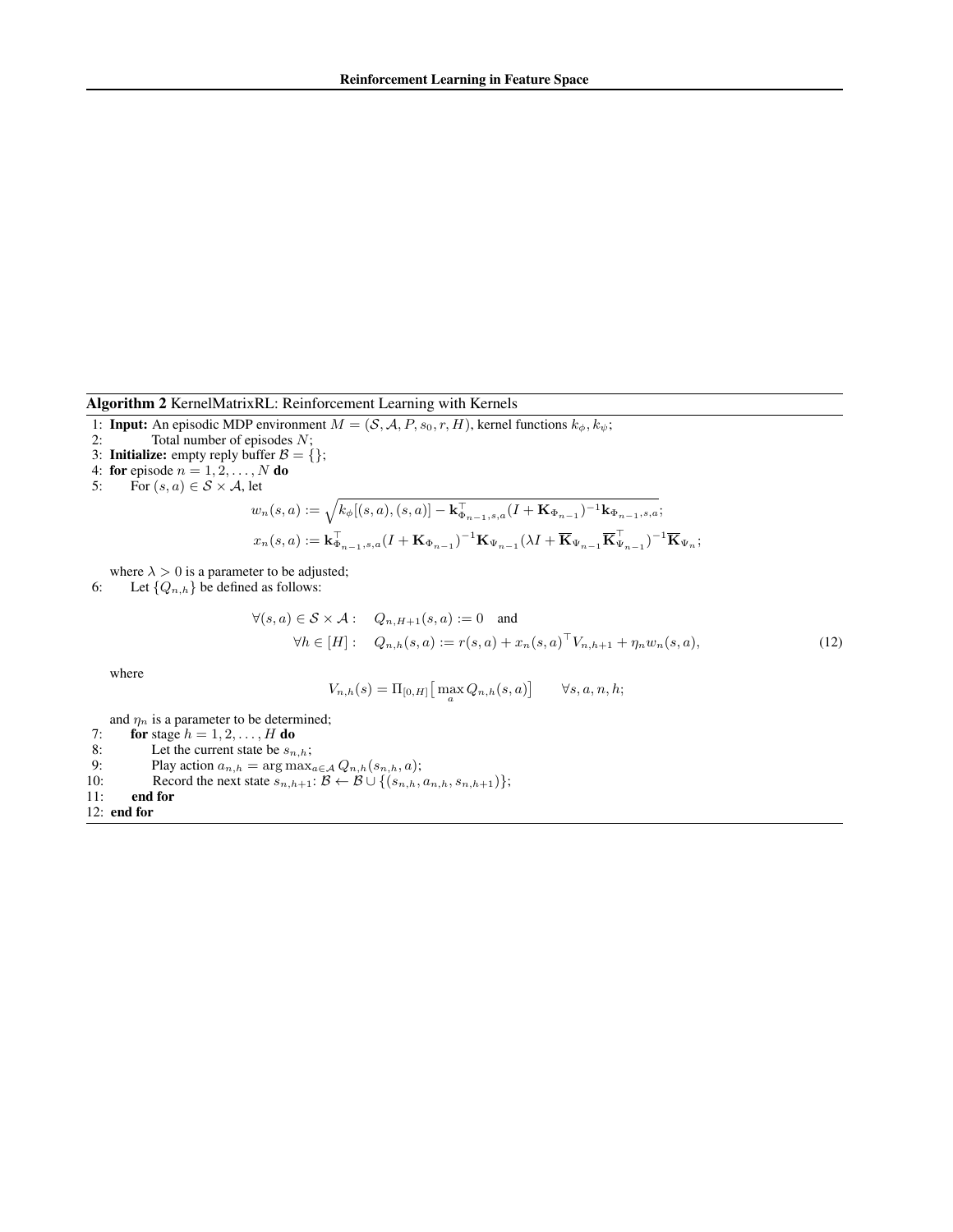Algorithm 2 KernelMatrixRL: Reinforcement Learning with Kernels

1: **Input:** An episodic MDP environment  $M = (S, A, P, s_0, r, H)$ , kernel functions  $k_{\phi}, k_{\psi}$ ;

- 2: Total number of episodes  $N$ ;
- 3: **Initialize:** empty reply buffer  $B = \{\};$ <br>4: **for** episode  $n = 1, 2, ..., N$  **do**
- 
- 5: For  $(s, a) \in S \times A$ , let

$$
w_n(s, a) := \sqrt{k_{\phi}[(s, a), (s, a)] - \mathbf{k}_{\Phi_{n-1}, s, a}^{\top}(I + \mathbf{K}_{\Phi_{n-1}})^{-1}\mathbf{k}_{\Phi_{n-1}, s, a}};
$$
  

$$
x_n(s, a) := \mathbf{k}_{\Phi_{n-1}, s, a}^{\top}(I + \mathbf{K}_{\Phi_{n-1}})^{-1}\mathbf{K}_{\Psi_{n-1}}(\lambda I + \overline{\mathbf{K}}_{\Psi_{n-1}}\overline{\mathbf{K}}_{\Psi_{n-1}})^{-1}\overline{\mathbf{K}}_{\Psi_n};
$$

where  $\lambda > 0$  is a parameter to be adjusted;

6: Let  $\{Q_{n,h}\}\$  be defined as follows:

$$
\forall (s,a) \in \mathcal{S} \times \mathcal{A} : Q_{n,H+1}(s,a) := 0 \text{ and}
$$
  
\n
$$
\forall h \in [H] : Q_{n,h}(s,a) := r(s,a) + x_n(s,a)^\top V_{n,h+1} + \eta_n w_n(s,a),
$$
\n(12)

where

$$
V_{n,h}(s)=\Pi_{[0,H]}\big[\max_a Q_{n,h}(s,a)\big]\qquad \forall s,a,n,h;
$$

and  $\eta_n$  is a parameter to be determined;

7: for stage  $h = 1, 2, \ldots, H$  do

8: Let the current state be  $s_{n,h}$ ;<br>9: Play action  $a_{n,h} = \arg \max_{h \in \mathcal{H}} a_h$ 

9: Play action  $a_{n,h} = \arg \max_{a \in \mathcal{A}} Q_{n,h}(s_{n,h}, a);$ 

- 10: Record the next state  $s_{n,h+1}$ :  $\mathcal{B} \leftarrow \mathcal{B} \cup \{(s_{n,h}, a_{n,h}, s_{n,h+1})\};$
- 11: end for

12: end for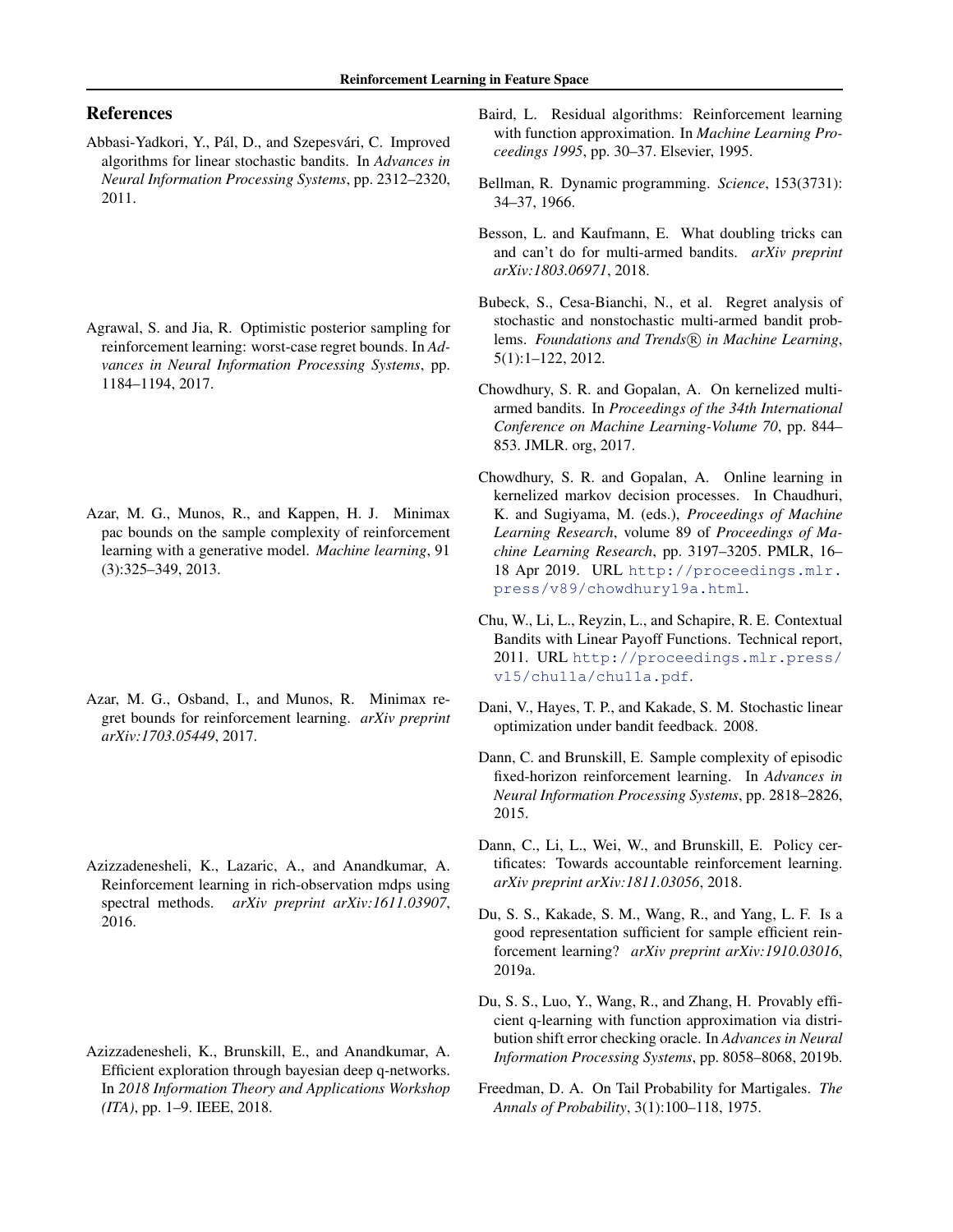# References

- Abbasi-Yadkori, Y., Pál, D., and Szepesvári, C. Improved algorithms for linear stochastic bandits. In *Advances in Neural Information Processing Systems*, pp. 2312–2320, 2011.
- Agrawal, S. and Jia, R. Optimistic posterior sampling for reinforcement learning: worst-case regret bounds. In *Advances in Neural Information Processing Systems*, pp. 1184–1194, 2017.
- Azar, M. G., Munos, R., and Kappen, H. J. Minimax pac bounds on the sample complexity of reinforcement learning with a generative model. *Machine learning*, 91 (3):325–349, 2013.
- Azar, M. G., Osband, I., and Munos, R. Minimax regret bounds for reinforcement learning. *arXiv preprint arXiv:1703.05449*, 2017.
- Azizzadenesheli, K., Lazaric, A., and Anandkumar, A. Reinforcement learning in rich-observation mdps using spectral methods. *arXiv preprint arXiv:1611.03907*, 2016.
- Azizzadenesheli, K., Brunskill, E., and Anandkumar, A. Efficient exploration through bayesian deep q-networks. In *2018 Information Theory and Applications Workshop (ITA)*, pp. 1–9. IEEE, 2018.
- Baird, L. Residual algorithms: Reinforcement learning with function approximation. In *Machine Learning Proceedings 1995*, pp. 30–37. Elsevier, 1995.
- Bellman, R. Dynamic programming. *Science*, 153(3731): 34–37, 1966.
- Besson, L. and Kaufmann, E. What doubling tricks can and can't do for multi-armed bandits. *arXiv preprint arXiv:1803.06971*, 2018.
- Bubeck, S., Cesa-Bianchi, N., et al. Regret analysis of stochastic and nonstochastic multi-armed bandit problems. *Foundations and Trends*( $\widehat{R}$ ) in Machine Learning, 5(1):1–122, 2012.
- Chowdhury, S. R. and Gopalan, A. On kernelized multiarmed bandits. In *Proceedings of the 34th International Conference on Machine Learning-Volume 70*, pp. 844– 853. JMLR. org, 2017.
- Chowdhury, S. R. and Gopalan, A. Online learning in kernelized markov decision processes. In Chaudhuri, K. and Sugiyama, M. (eds.), *Proceedings of Machine Learning Research*, volume 89 of *Proceedings of Machine Learning Research*, pp. 3197–3205. PMLR, 16– 18 Apr 2019. URL http://proceedings.mlr. press/v89/chowdhury19a.html.
- Chu, W., Li, L., Reyzin, L., and Schapire, R. E. Contextual Bandits with Linear Payoff Functions. Technical report, 2011. URL http://proceedings.mlr.press/ v15/chu11a/chu11a.pdf.
- Dani, V., Hayes, T. P., and Kakade, S. M. Stochastic linear optimization under bandit feedback. 2008.
- Dann, C. and Brunskill, E. Sample complexity of episodic fixed-horizon reinforcement learning. In *Advances in Neural Information Processing Systems*, pp. 2818–2826, 2015.
- Dann, C., Li, L., Wei, W., and Brunskill, E. Policy certificates: Towards accountable reinforcement learning. *arXiv preprint arXiv:1811.03056*, 2018.
- Du, S. S., Kakade, S. M., Wang, R., and Yang, L. F. Is a good representation sufficient for sample efficient reinforcement learning? *arXiv preprint arXiv:1910.03016*, 2019a.
- Du, S. S., Luo, Y., Wang, R., and Zhang, H. Provably efficient q-learning with function approximation via distribution shift error checking oracle. In *Advances in Neural Information Processing Systems*, pp. 8058–8068, 2019b.
- Freedman, D. A. On Tail Probability for Martigales. *The Annals of Probability*, 3(1):100–118, 1975.